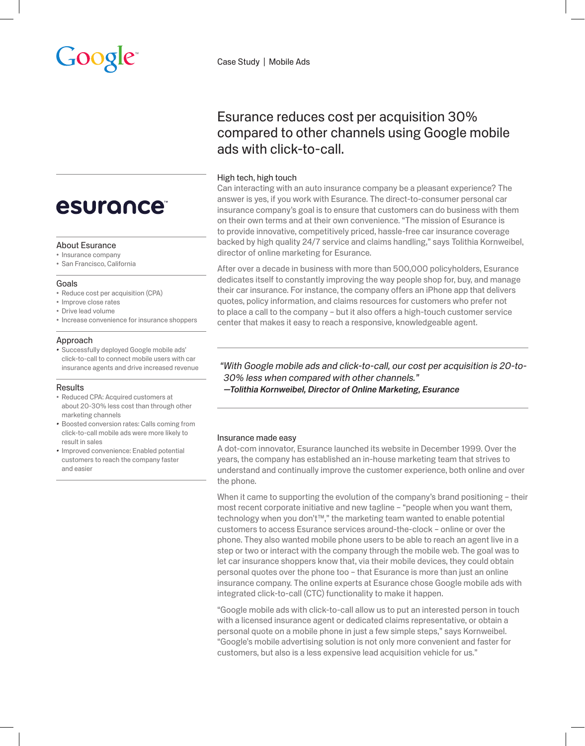Case Study | Mobile Ads

## Esurance reduces cost per acquisition 30% compared to other channels using Google mobile ads with click-to-call.

### High tech, high touch

Can interacting with an auto insurance company be a pleasant experience? The answer is yes, if you work with Esurance. The direct-to-consumer personal car insurance company's goal is to ensure that customers can do business with them on their own terms and at their own convenience. "The mission of Esurance is to provide innovative, competitively priced, hassle-free car insurance coverage backed by high quality 24/7 service and claims handling," says Tolithia Kornweibel, director of online marketing for Esurance.

After over a decade in business with more than 500,000 policyholders, Esurance dedicates itself to constantly improving the way people shop for, buy, and manage their car insurance. For instance, the company offers an iPhone app that delivers quotes, policy information, and claims resources for customers who prefer not to place a call to the company – but it also offers a high-touch customer service center that makes it easy to reach a responsive, knowledgeable agent.

*"With Google mobile ads and click-to-call, our cost per acquisition is 20-to-30% less when compared with other channels." —Tolithia Kornweibel, Director of Online Marketing, Esurance*

#### Insurance made easy

A dot-com innovator, Esurance launched its website in December 1999. Over the years, the company has established an in-house marketing team that strives to understand and continually improve the customer experience, both online and over the phone.

When it came to supporting the evolution of the company's brand positioning - their most recent corporate initiative and new tagline – "people when you want them, technology when you don't™," the marketing team wanted to enable potential customers to access Esurance services around-the-clock – online or over the phone. They also wanted mobile phone users to be able to reach an agent live in a step or two or interact with the company through the mobile web. The goal was to let car insurance shoppers know that, via their mobile devices, they could obtain personal quotes over the phone too – that Esurance is more than just an online insurance company. The online experts at Esurance chose Google mobile ads with integrated click-to-call (CTC) functionality to make it happen.

"Google mobile ads with click-to-call allow us to put an interested person in touch with a licensed insurance agent or dedicated claims representative, or obtain a personal quote on a mobile phone in just a few simple steps," says Kornweibel. "Google's mobile advertising solution is not only more convenient and faster for customers, but also is a less expensive lead acquisition vehicle for us."

# **esurance**

#### About Esurance

- • Insurance company
- • San Francisco, California

#### Goals

- Reduce cost per acquisition (CPA)
- • Improve close rates
- • Drive lead volume
- Increase convenience for insurance shoppers

#### Approach

*•*  Successfully deployed Google mobile ads' click-to-call to connect mobile users with car insurance agents and drive increased revenue

#### **Results**

- • Reduced CPA: Acquired customers at about 20-30% less cost than through other marketing channels
- *•*  Boosted conversion rates: Calls coming from click-to-call mobile ads were more likely to result in sales
- *•*  Improved convenience: Enabled potential customers to reach the company faster and easier